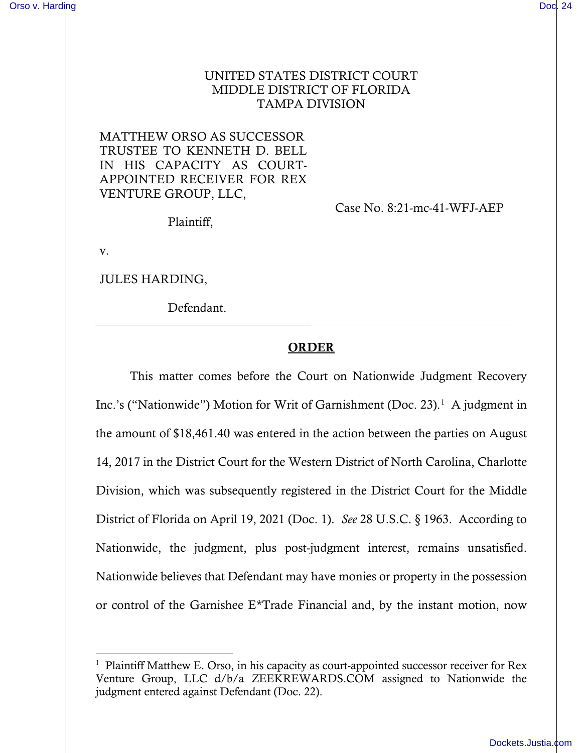## UNITED STATES DISTRICT COURT MIDDLE DISTRICT OF FLORIDA TAMPA DIVISION

MATTHEW ORSO AS SUCCESSOR TRUSTEE TO KENNETH D. BELL IN HIS CAPACITY AS COURT-APPOINTED RECEIVER FOR REX VENTURE GROUP, LLC,

Case No. 8:21-mc-41-WFJ-AEP

Plaintiff,

v.

JULES HARDING,

Defendant.

## ORDER

This matter comes before the Court on Nationwide Judgment Recovery Inc.'s ("Nationwide") Motion for Writ of Garnishment (Doc. 23).<sup>[1](#page-0-0)</sup> A judgment in the amount of \$18,461.40 was entered in the action between the parties on August 14, 2017 in the District Court for the Western District of North Carolina, Charlotte Division, which was subsequently registered in the District Court for the Middle District of Florida on April 19, 2021 (Doc. 1). *See* 28 U.S.C. § 1963. According to Nationwide, the judgment, plus post-judgment interest, remains unsatisfied. Nationwide believes that Defendant may have monies or property in the possession or control of the Garnishee E\*Trade Financial and, by the instant motion, now

<span id="page-0-0"></span><sup>&</sup>lt;sup>1</sup> Plaintiff Matthew E. Orso, in his capacity as court-appointed successor receiver for Rex Venture Group, LLC d/b/a ZEEKREWARDS.COM assigned to Nationwide the judgment entered against Defendant (Doc. 22).